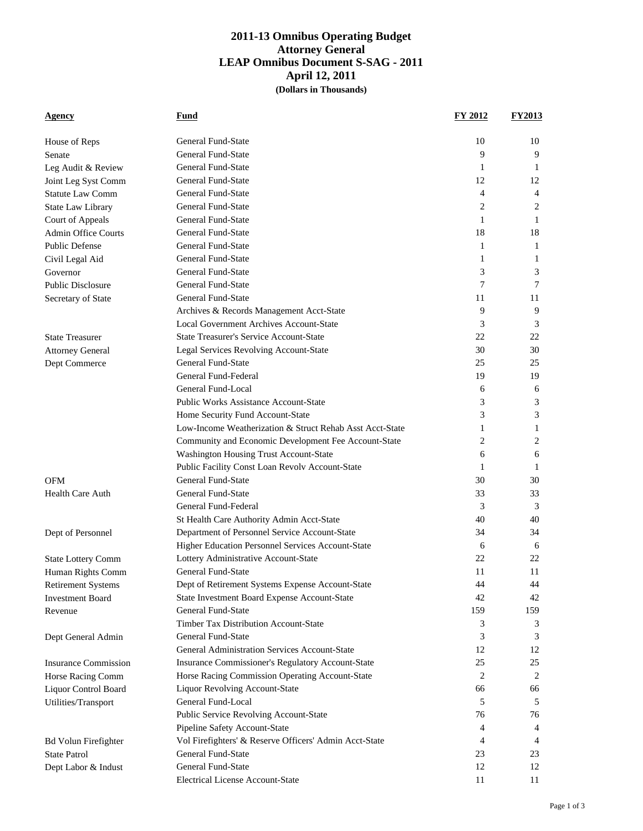## **2011-13 Omnibus Operating Budget Attorney General LEAP Omnibus Document S-SAG - 2011 April 12, 2011 (Dollars in Thousands)**

| <b>Agency</b>               | Fund                                                     | FY 2012        | <b>FY2013</b> |
|-----------------------------|----------------------------------------------------------|----------------|---------------|
|                             |                                                          |                |               |
| House of Reps               | <b>General Fund-State</b>                                | 10             | 10            |
| Senate                      | <b>General Fund-State</b>                                | 9              | 9             |
| Leg Audit & Review          | General Fund-State                                       | 1              | 1             |
| Joint Leg Syst Comm         | General Fund-State                                       | 12             | 12            |
| <b>Statute Law Comm</b>     | <b>General Fund-State</b>                                | $\overline{4}$ | 4             |
| State Law Library           | General Fund-State                                       | 2              | 2             |
| Court of Appeals            | General Fund-State                                       | 1              | 1             |
| <b>Admin Office Courts</b>  | <b>General Fund-State</b>                                | 18             | 18            |
| <b>Public Defense</b>       | General Fund-State                                       | 1              | 1             |
| Civil Legal Aid             | <b>General Fund-State</b>                                | 1              | 1             |
| Governor                    | <b>General Fund-State</b>                                | 3              | 3             |
| <b>Public Disclosure</b>    | <b>General Fund-State</b>                                | 7              | 7             |
| Secretary of State          | <b>General Fund-State</b>                                | 11             | 11            |
|                             | Archives & Records Management Acct-State                 | 9              | 9             |
|                             | Local Government Archives Account-State                  | 3              | 3             |
| <b>State Treasurer</b>      | <b>State Treasurer's Service Account-State</b>           | 22             | 22            |
| <b>Attorney General</b>     | Legal Services Revolving Account-State                   | 30             | 30            |
| Dept Commerce               | General Fund-State                                       | 25             | 25            |
|                             | General Fund-Federal                                     | 19             | 19            |
|                             | General Fund-Local                                       | 6              | 6             |
|                             | <b>Public Works Assistance Account-State</b>             | 3              | 3             |
|                             | Home Security Fund Account-State                         | 3              | 3             |
|                             | Low-Income Weatherization & Struct Rehab Asst Acct-State | 1              | 1             |
|                             | Community and Economic Development Fee Account-State     | 2              | 2             |
|                             | Washington Housing Trust Account-State                   | 6              | 6             |
|                             | Public Facility Const Loan Revolv Account-State          | 1              | 1             |
| <b>OFM</b>                  | General Fund-State                                       | 30             | 30            |
| <b>Health Care Auth</b>     | <b>General Fund-State</b>                                | 33             | 33            |
|                             | General Fund-Federal                                     | 3              | 3             |
|                             | St Health Care Authority Admin Acct-State                | 40             | 40            |
| Dept of Personnel           | Department of Personnel Service Account-State            | 34             | 34            |
|                             | Higher Education Personnel Services Account-State        | 6              | 6             |
| <b>State Lottery Comm</b>   | Lottery Administrative Account-State                     | 22             | 22            |
| Human Rights Comm           | <b>General Fund-State</b>                                | 11             | 11            |
| <b>Retirement Systems</b>   | Dept of Retirement Systems Expense Account-State         | 44             | 44            |
| <b>Investment Board</b>     | State Investment Board Expense Account-State             | 42             | 42            |
| Revenue                     | <b>General Fund-State</b>                                | 159            | 159           |
|                             | <b>Timber Tax Distribution Account-State</b>             | 3              | 3             |
| Dept General Admin          | General Fund-State                                       | 3              | 3             |
|                             | General Administration Services Account-State            | 12             | 12            |
| <b>Insurance Commission</b> | Insurance Commissioner's Regulatory Account-State        | 25             | 25            |
| Horse Racing Comm           | Horse Racing Commission Operating Account-State          | 2              | 2             |
| Liquor Control Board        | <b>Liquor Revolving Account-State</b>                    | 66             | 66            |
| Utilities/Transport         | General Fund-Local                                       | 5              | 5             |
|                             | Public Service Revolving Account-State                   | 76             | 76            |
|                             | Pipeline Safety Account-State                            | 4              | 4             |
| <b>Bd Volun Firefighter</b> | Vol Firefighters' & Reserve Officers' Admin Acct-State   | 4              | 4             |
| <b>State Patrol</b>         | General Fund-State                                       | 23             | 23            |
| Dept Labor & Indust         | General Fund-State                                       | 12             | 12            |
|                             | Electrical License Account-State                         | 11             | 11            |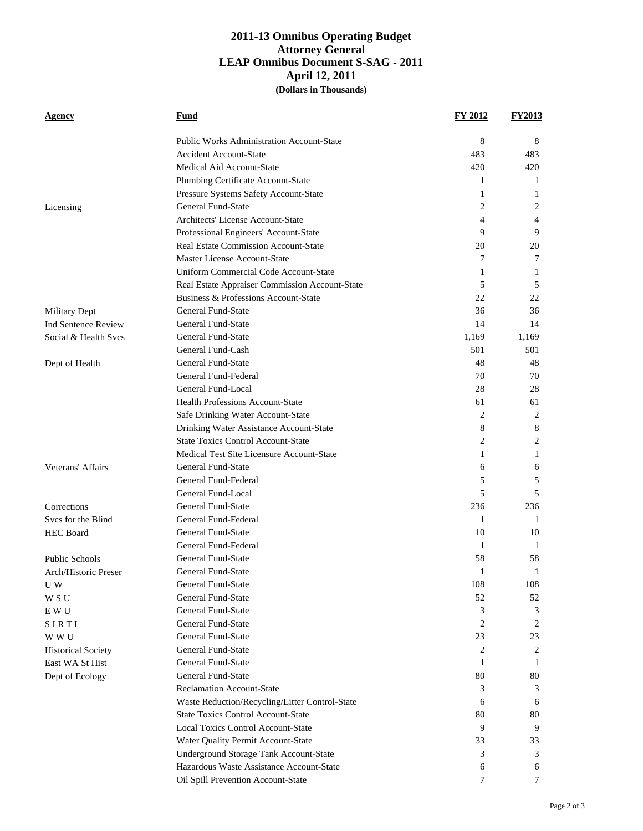## **2011-13 Omnibus Operating Budget Attorney General LEAP Omnibus Document S-SAG - 2011 April 12, 2011 (Dollars in Thousands)**

| Agency                     | Fund                                             | <b>FY 2012</b> | <b>FY2013</b> |
|----------------------------|--------------------------------------------------|----------------|---------------|
|                            | <b>Public Works Administration Account-State</b> | 8              | 8             |
|                            | <b>Accident Account-State</b>                    | 483            | 483           |
|                            | Medical Aid Account-State                        | 420            | 420           |
|                            | Plumbing Certificate Account-State               | 1              | 1             |
|                            | Pressure Systems Safety Account-State            | 1              | 1             |
| Licensing                  | <b>General Fund-State</b>                        | 2              | 2             |
|                            | Architects' License Account-State                | 4              | 4             |
|                            | Professional Engineers' Account-State            | 9              | 9             |
|                            | Real Estate Commission Account-State             | 20             | 20            |
|                            | Master License Account-State                     | 7              | 7             |
|                            | Uniform Commercial Code Account-State            | 1              | 1             |
|                            | Real Estate Appraiser Commission Account-State   | 5              | 5             |
|                            | Business & Professions Account-State             | 22             | 22            |
| Military Dept              | <b>General Fund-State</b>                        | 36             | 36            |
| <b>Ind Sentence Review</b> | <b>General Fund-State</b>                        | 14             | 14            |
| Social & Health Svcs       | <b>General Fund-State</b>                        | 1,169          | 1,169         |
|                            | General Fund-Cash                                | 501            | 501           |
| Dept of Health             | General Fund-State                               | 48             | 48            |
|                            | General Fund-Federal                             | 70             | 70            |
|                            | General Fund-Local                               | 28             | 28            |
|                            | <b>Health Professions Account-State</b>          | 61             | 61            |
|                            | Safe Drinking Water Account-State                | 2              | 2             |
|                            | Drinking Water Assistance Account-State          | 8              | 8             |
|                            | <b>State Toxics Control Account-State</b>        | 2              | 2             |
|                            | Medical Test Site Licensure Account-State        | 1              | 1             |
| Veterans' Affairs          | <b>General Fund-State</b>                        | 6              | 6             |
|                            | General Fund-Federal                             | 5              | 5             |
|                            | General Fund-Local                               | 5              | 5             |
| Corrections                | General Fund-State                               | 236            | 236           |
| Svcs for the Blind         | General Fund-Federal                             | 1              | 1             |
| <b>HEC Board</b>           | <b>General Fund-State</b>                        | 10             | 10            |
|                            | General Fund-Federal                             | 1              | 1             |
| <b>Public Schools</b>      | <b>General Fund-State</b>                        | 58             | 58            |
| Arch/Historic Preser       | General Fund-State                               | 1              | 1             |
| U W                        | General Fund-State                               | 108            | 108           |
| W S U                      | <b>General Fund-State</b>                        | 52             | 52            |
| E W U                      | <b>General Fund-State</b>                        | 3              | 3             |
| SIRTI                      | General Fund-State                               | 2              | 2             |
| W W U                      | <b>General Fund-State</b>                        | 23             | 23            |
| <b>Historical Society</b>  | <b>General Fund-State</b>                        | 2              | 2             |
| East WA St Hist            | General Fund-State                               | 1              | 1             |
| Dept of Ecology            | <b>General Fund-State</b>                        | 80             | 80            |
|                            | <b>Reclamation Account-State</b>                 | 3              | 3             |
|                            | Waste Reduction/Recycling/Litter Control-State   | 6              | 6             |
|                            | <b>State Toxics Control Account-State</b>        | 80             | 80            |
|                            | Local Toxics Control Account-State               | 9              | 9             |
|                            | Water Quality Permit Account-State               | 33             | 33            |
|                            | <b>Underground Storage Tank Account-State</b>    | 3              | 3             |
|                            | Hazardous Waste Assistance Account-State         | 6              | 6             |
|                            | Oil Spill Prevention Account-State               | 7              | 7             |